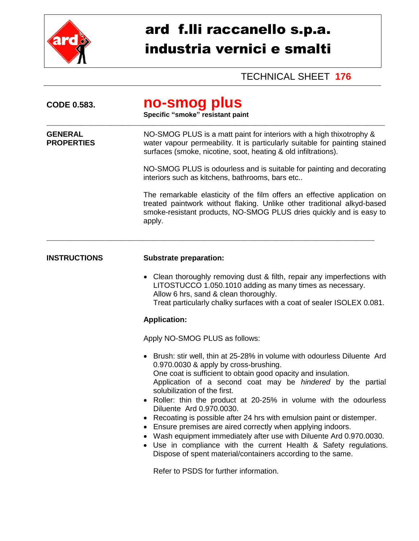

## ard f.lli raccanello s.p.a. industria vernici e smalti

## TECHNICAL SHEET **176**

| <b>CODE 0.583.</b>                  | no-smog plus<br>Specific "smoke" resistant paint                                                                                                                                                                                                                                                                                                                                                                                                                                                                                                                                                                                                                                                                                                         |  |  |  |
|-------------------------------------|----------------------------------------------------------------------------------------------------------------------------------------------------------------------------------------------------------------------------------------------------------------------------------------------------------------------------------------------------------------------------------------------------------------------------------------------------------------------------------------------------------------------------------------------------------------------------------------------------------------------------------------------------------------------------------------------------------------------------------------------------------|--|--|--|
| <b>GENERAL</b><br><b>PROPERTIES</b> | NO-SMOG PLUS is a matt paint for interiors with a high thixotrophy &<br>water vapour permeability. It is particularly suitable for painting stained<br>surfaces (smoke, nicotine, soot, heating & old infiltrations).                                                                                                                                                                                                                                                                                                                                                                                                                                                                                                                                    |  |  |  |
|                                     | NO-SMOG PLUS is odourless and is suitable for painting and decorating<br>interiors such as kitchens, bathrooms, bars etc                                                                                                                                                                                                                                                                                                                                                                                                                                                                                                                                                                                                                                 |  |  |  |
|                                     | The remarkable elasticity of the film offers an effective application on<br>treated paintwork without flaking. Unlike other traditional alkyd-based<br>smoke-resistant products, NO-SMOG PLUS dries quickly and is easy to<br>apply.                                                                                                                                                                                                                                                                                                                                                                                                                                                                                                                     |  |  |  |
| <b>INSTRUCTIONS</b>                 | <b>Substrate preparation:</b>                                                                                                                                                                                                                                                                                                                                                                                                                                                                                                                                                                                                                                                                                                                            |  |  |  |
|                                     | Clean thoroughly removing dust & filth, repair any imperfections with<br>LITOSTUCCO 1.050.1010 adding as many times as necessary.<br>Allow 6 hrs, sand & clean thoroughly.<br>Treat particularly chalky surfaces with a coat of sealer ISOLEX 0.081.                                                                                                                                                                                                                                                                                                                                                                                                                                                                                                     |  |  |  |
|                                     | <b>Application:</b>                                                                                                                                                                                                                                                                                                                                                                                                                                                                                                                                                                                                                                                                                                                                      |  |  |  |
|                                     | Apply NO-SMOG PLUS as follows:                                                                                                                                                                                                                                                                                                                                                                                                                                                                                                                                                                                                                                                                                                                           |  |  |  |
|                                     | • Brush: stir well, thin at 25-28% in volume with odourless Diluente Ard<br>0.970.0030 & apply by cross-brushing.<br>One coat is sufficient to obtain good opacity and insulation.<br>Application of a second coat may be hindered by the partial<br>solubilization of the first.<br>Roller: thin the product at 20-25% in volume with the odourless<br>Diluente Ard 0.970.0030.<br>Recoating is possible after 24 hrs with emulsion paint or distemper.<br>$\bullet$<br>Ensure premises are aired correctly when applying indoors.<br>$\bullet$<br>Wash equipment immediately after use with Diluente Ard 0.970.0030.<br>Use in compliance with the current Health & Safety regulations.<br>Dispose of spent material/containers according to the same. |  |  |  |
|                                     | Refer to PSDS for further information.                                                                                                                                                                                                                                                                                                                                                                                                                                                                                                                                                                                                                                                                                                                   |  |  |  |